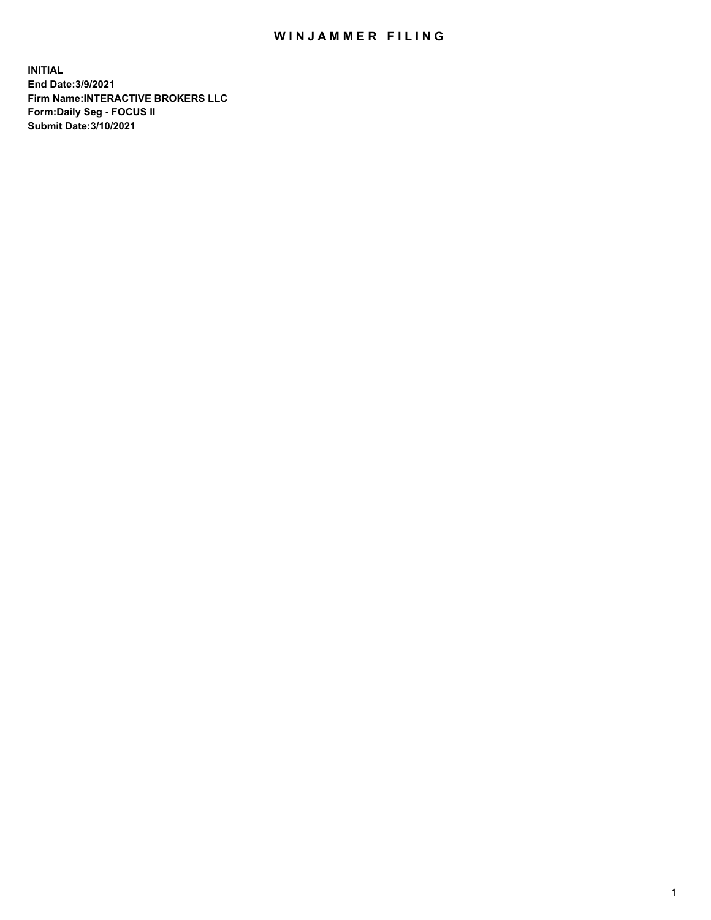## WIN JAMMER FILING

**INITIAL End Date:3/9/2021 Firm Name:INTERACTIVE BROKERS LLC Form:Daily Seg - FOCUS II Submit Date:3/10/2021**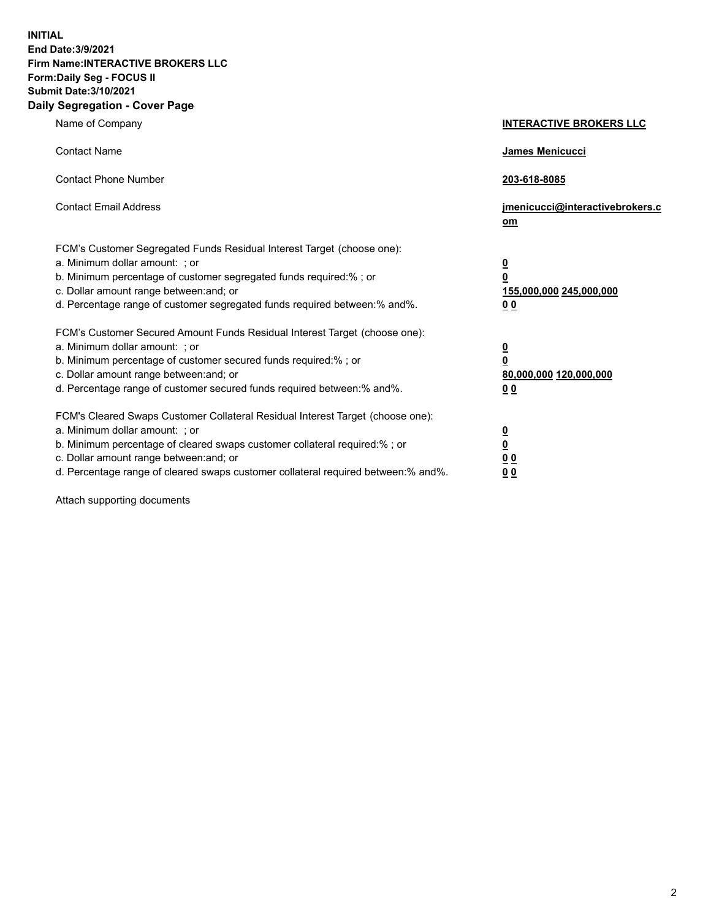**INITIAL End Date:3/9/2021 Firm Name:INTERACTIVE BROKERS LLC Form:Daily Seg - FOCUS II Submit Date:3/10/2021 Daily Segregation - Cover Page**

| Name of Company                                                                                                                                                                                                                                                                                                                | <b>INTERACTIVE BROKERS LLC</b>                                                                           |
|--------------------------------------------------------------------------------------------------------------------------------------------------------------------------------------------------------------------------------------------------------------------------------------------------------------------------------|----------------------------------------------------------------------------------------------------------|
| <b>Contact Name</b>                                                                                                                                                                                                                                                                                                            | James Menicucci                                                                                          |
| <b>Contact Phone Number</b>                                                                                                                                                                                                                                                                                                    | 203-618-8085                                                                                             |
| <b>Contact Email Address</b>                                                                                                                                                                                                                                                                                                   | jmenicucci@interactivebrokers.c<br>om                                                                    |
| FCM's Customer Segregated Funds Residual Interest Target (choose one):<br>a. Minimum dollar amount: ; or<br>b. Minimum percentage of customer segregated funds required:%; or<br>c. Dollar amount range between: and; or<br>d. Percentage range of customer segregated funds required between:% and%.                          | <u>0</u><br>$\overline{\mathbf{0}}$<br>155,000,000 245,000,000<br>0 <sub>0</sub>                         |
| FCM's Customer Secured Amount Funds Residual Interest Target (choose one):<br>a. Minimum dollar amount: ; or<br>b. Minimum percentage of customer secured funds required:%; or<br>c. Dollar amount range between: and; or<br>d. Percentage range of customer secured funds required between:% and%.                            | <u>0</u><br>$\overline{\mathbf{0}}$<br>80,000,000 120,000,000<br><u>00</u>                               |
| FCM's Cleared Swaps Customer Collateral Residual Interest Target (choose one):<br>a. Minimum dollar amount: ; or<br>b. Minimum percentage of cleared swaps customer collateral required:% ; or<br>c. Dollar amount range between: and; or<br>d. Percentage range of cleared swaps customer collateral required between:% and%. | $\overline{\mathbf{0}}$<br>$\underline{\mathbf{0}}$<br>$\underline{0}$ $\underline{0}$<br>0 <sub>0</sub> |

Attach supporting documents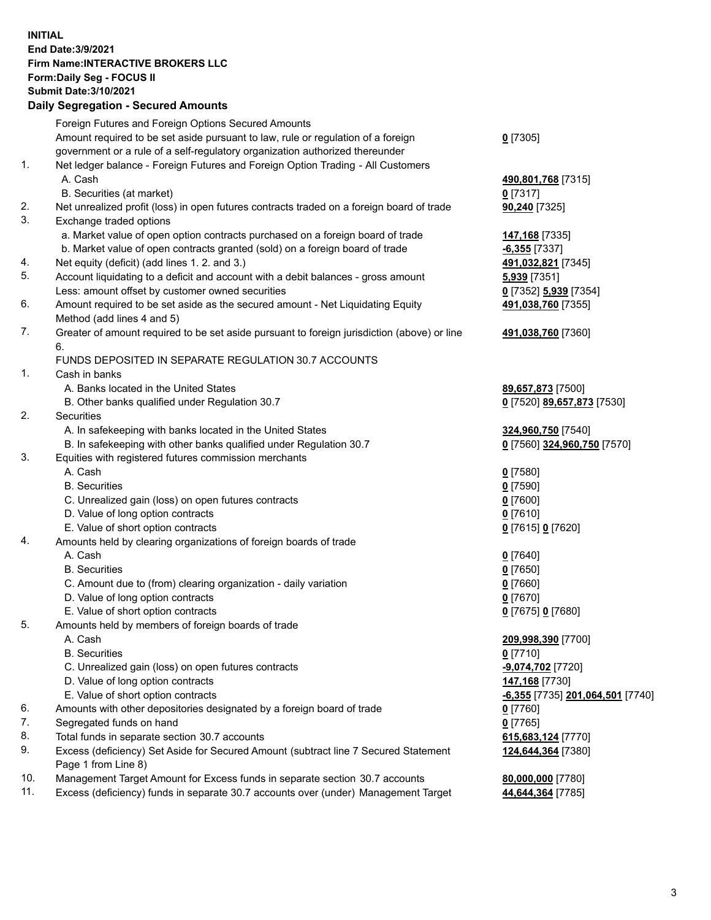## **INITIAL End Date:3/9/2021 Firm Name:INTERACTIVE BROKERS LLC Form:Daily Seg - FOCUS II Submit Date:3/10/2021 Daily Segregation - Secured Amounts**

|     | Daily Segregation - Secured Amounts                                                                  |                                         |
|-----|------------------------------------------------------------------------------------------------------|-----------------------------------------|
|     | Foreign Futures and Foreign Options Secured Amounts                                                  |                                         |
|     | Amount required to be set aside pursuant to law, rule or regulation of a foreign                     | $0$ [7305]                              |
|     | government or a rule of a self-regulatory organization authorized thereunder                         |                                         |
| 1.  | Net ledger balance - Foreign Futures and Foreign Option Trading - All Customers                      |                                         |
|     | A. Cash                                                                                              | 490,801,768 [7315]                      |
|     | B. Securities (at market)                                                                            | $0$ [7317]                              |
| 2.  | Net unrealized profit (loss) in open futures contracts traded on a foreign board of trade            | 90,240 [7325]                           |
| 3.  | Exchange traded options                                                                              |                                         |
|     | a. Market value of open option contracts purchased on a foreign board of trade                       | 147,168 [7335]                          |
|     | b. Market value of open contracts granted (sold) on a foreign board of trade                         | $-6,355$ [7337]                         |
| 4.  | Net equity (deficit) (add lines 1. 2. and 3.)                                                        | 491,032,821 [7345]                      |
| 5.  | Account liquidating to a deficit and account with a debit balances - gross amount                    | 5,939 [7351]                            |
|     | Less: amount offset by customer owned securities                                                     | 0 [7352] 5,939 [7354]                   |
| 6.  | Amount required to be set aside as the secured amount - Net Liquidating Equity                       | 491,038,760 [7355]                      |
|     | Method (add lines 4 and 5)                                                                           |                                         |
| 7.  | Greater of amount required to be set aside pursuant to foreign jurisdiction (above) or line          | 491,038,760 [7360]                      |
|     | 6.                                                                                                   |                                         |
|     | FUNDS DEPOSITED IN SEPARATE REGULATION 30.7 ACCOUNTS                                                 |                                         |
| 1.  | Cash in banks                                                                                        |                                         |
|     | A. Banks located in the United States                                                                | 89,657,873 [7500]                       |
|     | B. Other banks qualified under Regulation 30.7                                                       | 0 [7520] 89,657,873 [7530]              |
| 2.  | <b>Securities</b>                                                                                    |                                         |
|     | A. In safekeeping with banks located in the United States                                            | 324,960,750 [7540]                      |
|     | B. In safekeeping with other banks qualified under Regulation 30.7                                   | 0 [7560] 324,960,750 [7570]             |
| 3.  | Equities with registered futures commission merchants                                                |                                         |
|     | A. Cash                                                                                              | $0$ [7580]                              |
|     | <b>B.</b> Securities                                                                                 | $0$ [7590]                              |
|     | C. Unrealized gain (loss) on open futures contracts                                                  | $0$ [7600]                              |
|     | D. Value of long option contracts                                                                    | $0$ [7610]                              |
|     | E. Value of short option contracts                                                                   | 0 [7615] 0 [7620]                       |
| 4.  | Amounts held by clearing organizations of foreign boards of trade                                    |                                         |
|     | A. Cash                                                                                              | $0$ [7640]                              |
|     | <b>B.</b> Securities                                                                                 | $0$ [7650]                              |
|     | C. Amount due to (from) clearing organization - daily variation<br>D. Value of long option contracts | $0$ [7660]                              |
|     | E. Value of short option contracts                                                                   | $0$ [7670]                              |
| 5.  |                                                                                                      | 0 [7675] 0 [7680]                       |
|     | Amounts held by members of foreign boards of trade<br>A. Cash                                        | 209,998,390 [7700]                      |
|     | <b>B.</b> Securities                                                                                 | $0$ [7710]                              |
|     | C. Unrealized gain (loss) on open futures contracts                                                  | -9,074,702 <sup>[7720]</sup>            |
|     | D. Value of long option contracts                                                                    | 147,168 [7730]                          |
|     | E. Value of short option contracts                                                                   | <u>-6,355</u> [7735] 201,064,501 [7740] |
| 6.  | Amounts with other depositories designated by a foreign board of trade                               | $0$ [7760]                              |
| 7.  | Segregated funds on hand                                                                             | $0$ [7765]                              |
| 8.  | Total funds in separate section 30.7 accounts                                                        | 615,683,124 [7770]                      |
| 9.  | Excess (deficiency) Set Aside for Secured Amount (subtract line 7 Secured Statement                  | 124,644,364 [7380]                      |
|     | Page 1 from Line 8)                                                                                  |                                         |
| 10. | Management Target Amount for Excess funds in separate section 30.7 accounts                          | 80,000,000 [7780]                       |
| 11. | Excess (deficiency) funds in separate 30.7 accounts over (under) Management Target                   | 44,644,364 [7785]                       |
|     |                                                                                                      |                                         |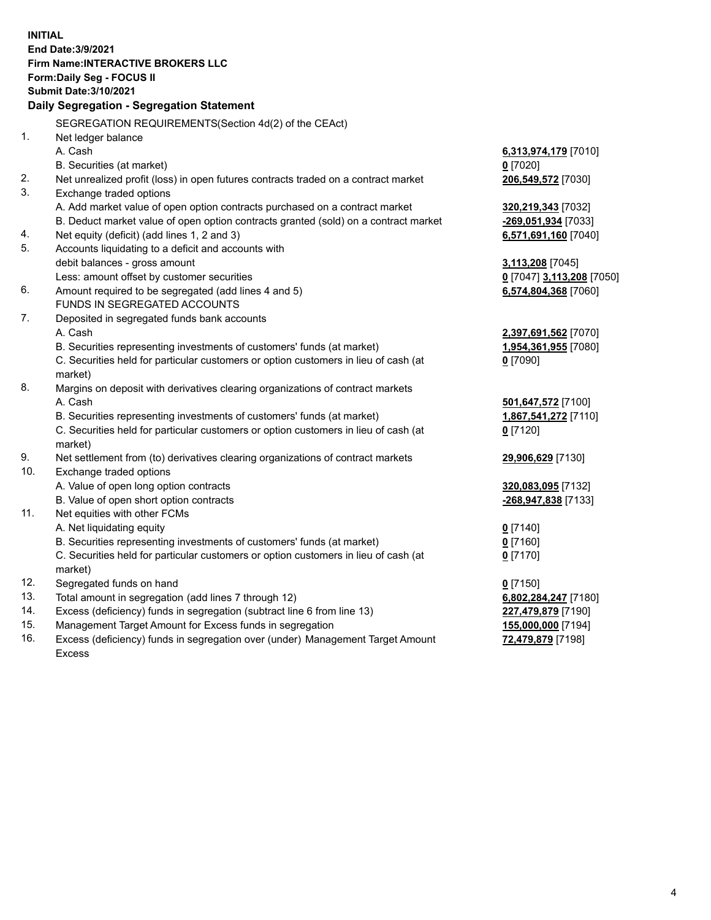**INITIAL End Date:3/9/2021 Firm Name:INTERACTIVE BROKERS LLC Form:Daily Seg - FOCUS II Submit Date:3/10/2021 Daily Segregation - Segregation Statement** SEGREGATION REQUIREMENTS(Section 4d(2) of the CEAct) 1. Net ledger balance A. Cash **6,313,974,179** [7010] B. Securities (at market) **0** [7020] 2. Net unrealized profit (loss) in open futures contracts traded on a contract market **206,549,572** [7030] 3. Exchange traded options A. Add market value of open option contracts purchased on a contract market **320,219,343** [7032] B. Deduct market value of open option contracts granted (sold) on a contract market **-269,051,934** [7033] 4. Net equity (deficit) (add lines 1, 2 and 3) **6,571,691,160** [7040] 5. Accounts liquidating to a deficit and accounts with debit balances - gross amount **3,113,208** [7045] Less: amount offset by customer securities **0** [7047] **3,113,208** [7050] 6. Amount required to be segregated (add lines 4 and 5) **6,574,804,368** [7060] FUNDS IN SEGREGATED ACCOUNTS 7. Deposited in segregated funds bank accounts A. Cash **2,397,691,562** [7070] B. Securities representing investments of customers' funds (at market) **1,954,361,955** [7080] C. Securities held for particular customers or option customers in lieu of cash (at market) **0** [7090] 8. Margins on deposit with derivatives clearing organizations of contract markets A. Cash **501,647,572** [7100] B. Securities representing investments of customers' funds (at market) **1,867,541,272** [7110] C. Securities held for particular customers or option customers in lieu of cash (at market) **0** [7120] 9. Net settlement from (to) derivatives clearing organizations of contract markets **29,906,629** [7130] 10. Exchange traded options A. Value of open long option contracts **320,083,095** [7132] B. Value of open short option contracts **-268,947,838** [7133] 11. Net equities with other FCMs A. Net liquidating equity **0** [7140] B. Securities representing investments of customers' funds (at market) **0** [7160] C. Securities held for particular customers or option customers in lieu of cash (at market) **0** [7170] 12. Segregated funds on hand **0** [7150] 13. Total amount in segregation (add lines 7 through 12) **6,802,284,247** [7180] 14. Excess (deficiency) funds in segregation (subtract line 6 from line 13) **227,479,879** [7190] 15. Management Target Amount for Excess funds in segregation **155,000,000** [7194]

16. Excess (deficiency) funds in segregation over (under) Management Target Amount Excess

**72,479,879** [7198]